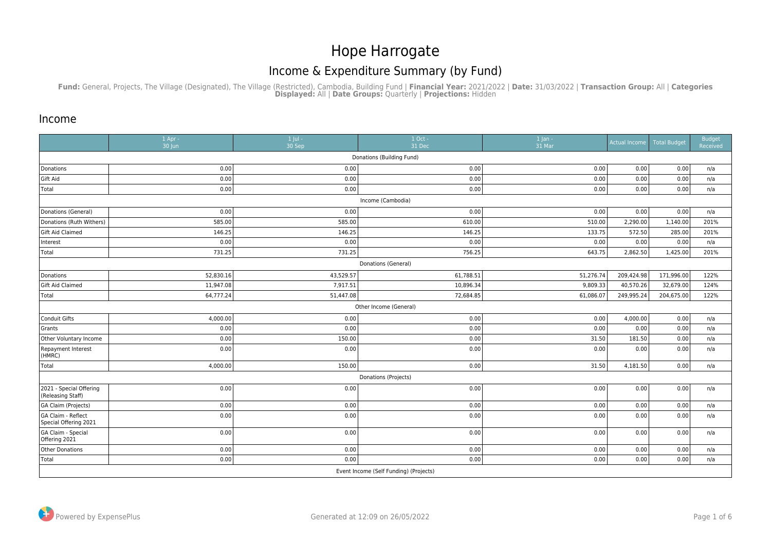## Hope Harrogate Income & Expenditure Summary (by Fund)

**Fund:** General, Projects, The Village (Designated), The Village (Restricted), Cambodia, Building Fund | **Financial Year:** 2021/2022 | **Date:** 31/03/2022 | **Transaction Group:** All | **Categories Displayed:** All | **Date Groups:** Quarterly | **Projections:** Hidden

## Income

|                                              | 1 Apr -<br>30 Jun | $1$ Jul -<br>30 Sep | 1 Oct -<br>31 Dec                      | $1$ Jan -<br>31 Mar | <b>Actual Income</b> | <b>Total Budget</b> | Budget<br>Received |  |  |  |  |
|----------------------------------------------|-------------------|---------------------|----------------------------------------|---------------------|----------------------|---------------------|--------------------|--|--|--|--|
| Donations (Building Fund)                    |                   |                     |                                        |                     |                      |                     |                    |  |  |  |  |
| Donations                                    | 0.00              | 0.00                | 0.00                                   | 0.00                | 0.00                 | 0.00                | n/a                |  |  |  |  |
| Gift Aid                                     | 0.00              | 0.00                | 0.00                                   | 0.00                | 0.00                 | 0.00                | n/a                |  |  |  |  |
| Total                                        | 0.00              | 0.00                | 0.00                                   | 0.00                | 0.00                 | 0.00                | n/a                |  |  |  |  |
|                                              | Income (Cambodia) |                     |                                        |                     |                      |                     |                    |  |  |  |  |
| Donations (General)                          | 0.00              | 0.00                | 0.00                                   | 0.00                | 0.00                 | 0.00                | n/a                |  |  |  |  |
| Donations (Ruth Withers)                     | 585.00            | 585.00              | 610.00                                 | 510.00              | 2,290.00             | 1,140.00            | 201%               |  |  |  |  |
| Gift Aid Claimed                             | 146.25            | 146.25              | 146.25                                 | 133.75              | 572.50               | 285.00              | 201%               |  |  |  |  |
| Interest                                     | 0.00              | 0.00                | 0.00                                   | 0.00                | 0.00                 | 0.00                | n/a                |  |  |  |  |
| Total                                        | 731.25            | 731.25              | 756.25                                 | 643.75              | 2,862.50             | 1,425.00            | 201%               |  |  |  |  |
| Donations (General)                          |                   |                     |                                        |                     |                      |                     |                    |  |  |  |  |
| Donations                                    | 52,830.16         | 43,529.57           | 61,788.51                              | 51,276.74           | 209,424.98           | 171,996.00          | 122%               |  |  |  |  |
| Gift Aid Claimed                             | 11,947.08         | 7,917.51            | 10,896.34                              | 9,809.33            | 40,570.26            | 32,679.00           | 124%               |  |  |  |  |
| Total                                        | 64,777.24         | 51,447.08           | 72,684.85                              | 61,086.07           | 249,995.24           | 204,675.00          | 122%               |  |  |  |  |
|                                              |                   |                     | Other Income (General)                 |                     |                      |                     |                    |  |  |  |  |
| Conduit Gifts                                | 4,000.00          | 0.00                | 0.00                                   | 0.00                | 4,000.00             | 0.00                | n/a                |  |  |  |  |
| Grants                                       | 0.00              | 0.00                | 0.00                                   | 0.00                | 0.00                 | 0.00                | n/a                |  |  |  |  |
| Other Voluntary Income                       | 0.00              | 150.00              | 0.00                                   | 31.50               | 181.50               | 0.00                | n/a                |  |  |  |  |
| Repayment Interest<br>(HMRC)                 | 0.00              | 0.00                | 0.00                                   | 0.00                | 0.00                 | 0.00                | n/a                |  |  |  |  |
| Total                                        | 4,000.00          | 150.00              | 0.00                                   | 31.50               | 4,181.50             | 0.00                | n/a                |  |  |  |  |
|                                              |                   |                     | Donations (Projects)                   |                     |                      |                     |                    |  |  |  |  |
| 2021 - Special Offering<br>(Releasing Staff) | 0.00              | 0.00                | 0.00                                   | 0.00                | 0.00                 | 0.00                | n/a                |  |  |  |  |
| GA Claim (Projects)                          | 0.00              | 0.00                | 0.00                                   | 0.00                | 0.00                 | 0.00                | n/a                |  |  |  |  |
| GA Claim - Reflect<br>Special Offering 2021  | 0.00              | 0.00                | 0.00                                   | 0.00                | 0.00                 | 0.00                | n/a                |  |  |  |  |
| GA Claim - Special<br>Offering 2021          | 0.00              | 0.00                | 0.00                                   | 0.00                | 0.00                 | 0.00                | n/a                |  |  |  |  |
| Other Donations                              | 0.00              | 0.00                | 0.00                                   | 0.00                | 0.00                 | 0.00                | n/a                |  |  |  |  |
| Total                                        | 0.00              | 0.00                | 0.00                                   | 0.00                | 0.00                 | 0.00                | n/a                |  |  |  |  |
|                                              |                   |                     | Event Income (Self Funding) (Projects) |                     |                      |                     |                    |  |  |  |  |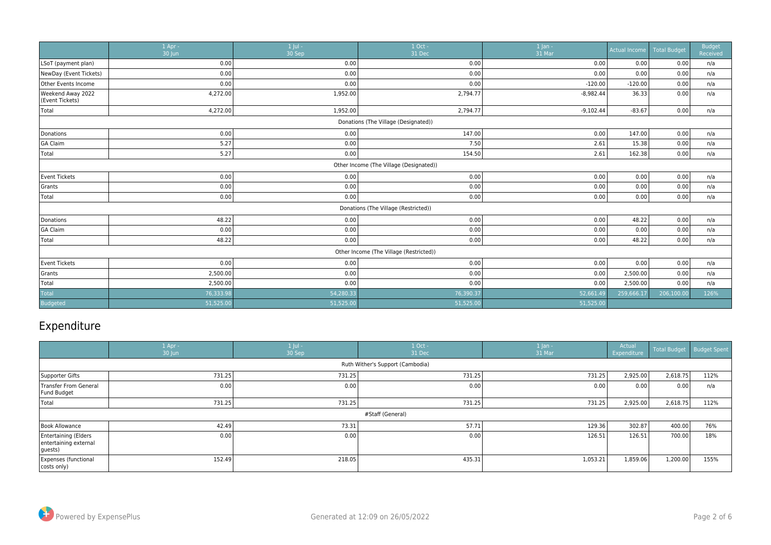|                                      | $1$ Apr -<br>30 Jun | $1$ Jul -<br>$30$ Sep | 1 Oct -<br>31 Dec                       | $1$ Jan -<br>31 Mar | <b>Actual Income</b> | <b>Total Budget</b> | <b>Budget</b><br>Received |  |  |  |
|--------------------------------------|---------------------|-----------------------|-----------------------------------------|---------------------|----------------------|---------------------|---------------------------|--|--|--|
| LSoT (payment plan)                  | 0.00                | 0.00                  | 0.00                                    | 0.00                | 0.00                 | 0.00                | n/a                       |  |  |  |
| NewDay (Event Tickets)               | 0.00                | 0.00                  | 0.00                                    | 0.00                | 0.00                 | 0.00                | n/a                       |  |  |  |
| <b>Other Events Income</b>           | 0.00                | 0.00                  | 0.00                                    | $-120.00$           | $-120.00$            | 0.00                | n/a                       |  |  |  |
| Weekend Away 2022<br>(Event Tickets) | 4,272.00            | 1,952.00              | 2,794.77                                | $-8,982.44$         | 36.33                | 0.00                | n/a                       |  |  |  |
| Total                                | 4,272.00            | 1,952.00              | 2,794.77                                | $-9,102.44$         | $-83.67$             | 0.00                | n/a                       |  |  |  |
| Donations (The Village (Designated)) |                     |                       |                                         |                     |                      |                     |                           |  |  |  |
| Donations                            | 0.00                | 0.00                  | 147.00                                  | 0.00                | 147.00               | 0.00                | n/a                       |  |  |  |
| GA Claim                             | 5.27                | 0.00                  | 7.50                                    | 2.61                | 15.38                | 0.00                | n/a                       |  |  |  |
| Total                                | 5.27                | 0.00                  | 154.50                                  | 2.61                | 162.38               | 0.00                | n/a                       |  |  |  |
|                                      |                     |                       | Other Income (The Village (Designated)) |                     |                      |                     |                           |  |  |  |
| Event Tickets                        | 0.00                | 0.00                  | 0.00                                    | 0.00                | 0.00                 | 0.00                | n/a                       |  |  |  |
| Grants                               | 0.00                | 0.00                  | 0.00                                    | 0.00                | 0.00                 | 0.00                | n/a                       |  |  |  |
| Total                                | 0.00                | 0.00                  | 0.00                                    | 0.00                | 0.00                 | 0.00                | n/a                       |  |  |  |
|                                      |                     |                       | Donations (The Village (Restricted))    |                     |                      |                     |                           |  |  |  |
| Donations                            | 48.22               | 0.00                  | 0.00                                    | 0.00                | 48.22                | 0.00                | n/a                       |  |  |  |
| GA Claim                             | 0.00                | 0.00                  | 0.00                                    | 0.00                | 0.00                 | 0.00                | n/a                       |  |  |  |
| Total                                | 48.22               | 0.00                  | 0.00                                    | 0.00                | 48.22                | 0.00                | n/a                       |  |  |  |
|                                      |                     |                       | Other Income (The Village (Restricted)) |                     |                      |                     |                           |  |  |  |
| Event Tickets                        | 0.00                | 0.00                  | 0.00                                    | 0.00                | 0.00                 | 0.00                | n/a                       |  |  |  |
| Grants                               | 2,500.00            | 0.00                  | 0.00                                    | 0.00                | 2,500.00             | 0.00                | n/a                       |  |  |  |
| Total                                | 2,500.00            | 0.00                  | 0.00                                    | 0.00                | 2,500.00             | 0.00                | n/a                       |  |  |  |
| <b>Total</b>                         | 76,333.98           | 54,280.33             | 76,390.37                               | 52,661.49           | 259,666.1            | 206,100.00          | 126%                      |  |  |  |
| Budgeted                             | 51,525.00           | 51,525.00             | 51,525.00                               | 51,525.00           |                      |                     |                           |  |  |  |

## Expenditure

|                                                           | $1$ Apr -<br>30 Jun              | $1$ Jul -<br>30 Sep | 1 Oct -<br>31 Dec | $1$ Jan -<br>31 Mar | Actual<br>Expenditure |          | Total Budget   Budget Spent |  |  |  |
|-----------------------------------------------------------|----------------------------------|---------------------|-------------------|---------------------|-----------------------|----------|-----------------------------|--|--|--|
|                                                           | Ruth Wither's Support (Cambodia) |                     |                   |                     |                       |          |                             |  |  |  |
| Supporter Gifts                                           | 731.25                           | 731.25              | 731.25            | 731.25              | 2,925.00              | 2,618.75 | 112%                        |  |  |  |
| Transfer From General<br>Fund Budget                      | 0.00                             | 0.00                | 0.00              | 0.00                | 0.001                 | 0.00     | n/a                         |  |  |  |
| Total                                                     | 731.25                           | 731.25              | 731.25            | 731.25              | 2,925.00              | 2,618.75 | 112%                        |  |  |  |
|                                                           |                                  |                     | #Staff (General)  |                     |                       |          |                             |  |  |  |
| Book Allowance                                            | 42.49                            | 73.31               | 57.71             | 129.36              | 302.87                | 400.00   | 76%                         |  |  |  |
| Entertaining (Elders<br>entertaining external<br> guests) | 0.00                             | 0.00                | 0.00              | 126.51              | 126.51                | 700.00   | 18%                         |  |  |  |
| Expenses (functional<br>costs only)                       | 152.49                           | 218.05              | 435.31            | 1,053.21            | 1,859.06              | 1,200.00 | 155%                        |  |  |  |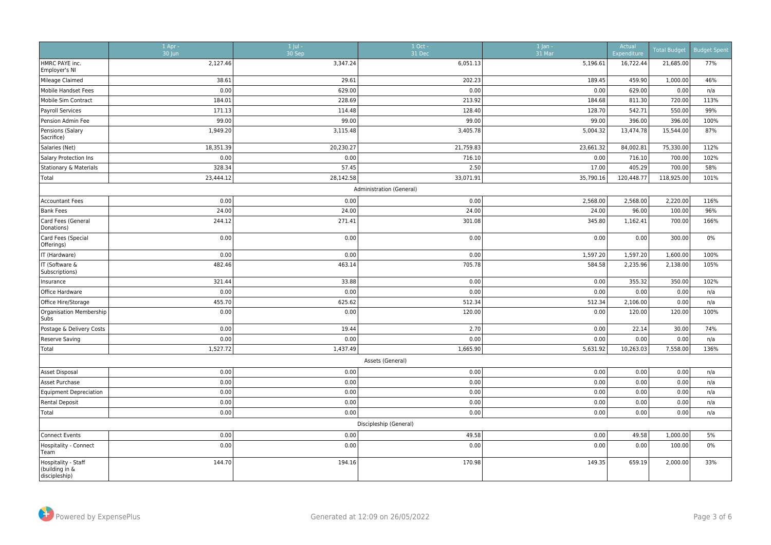|                                                        | $1$ Apr -<br>30 Jun | 1 Jul -<br>30 Sep | $1$ Oct -<br>31 Dec    | 1 Jan -<br>31 Mar | Actual<br>Expenditure | <b>Total Budget</b> | <b>Budget Spent</b> |  |  |  |
|--------------------------------------------------------|---------------------|-------------------|------------------------|-------------------|-----------------------|---------------------|---------------------|--|--|--|
| HMRC PAYE inc.<br>Employer's NI                        | 2,127.46            | 3,347.24          | 6,051.13               | 5,196.61          | 16,722.44             | 21,685.00           | 77%                 |  |  |  |
| Mileage Claimed                                        | 38.61               | 29.61             | 202.23                 | 189.45            | 459.90                | 1,000.00            | 46%                 |  |  |  |
| Mobile Handset Fees                                    | 0.00                | 629.00            | 0.00                   | 0.00              | 629.00                | 0.00                | n/a                 |  |  |  |
| Mobile Sim Contract                                    | 184.01              | 228.69            | 213.92                 | 184.68            | 811.30                | 720.00              | 113%                |  |  |  |
| Payroll Services                                       | 171.13              | 114.48            | 128.40                 | 128.70            | 542.71                | 550.00              | 99%                 |  |  |  |
| Pension Admin Fee                                      | 99.00               | 99.00             | 99.00                  | 99.00             | 396.00                | 396.00              | 100%                |  |  |  |
| Pensions (Salary<br>Sacrifice)                         | 1,949.20            | 3,115.48          | 3,405.78               | 5,004.32          | 13,474.78             | 15,544.00           | 87%                 |  |  |  |
| Salaries (Net)                                         | 18,351.39           | 20,230.27         | 21,759.83              | 23,661.32         | 84,002.81             | 75,330.00           | 112%                |  |  |  |
| Salary Protection Ins                                  | 0.00                | 0.00              | 716.10                 | 0.00              | 716.10                | 700.00              | 102%                |  |  |  |
| Stationary & Materials                                 | 328.34              | 57.45             | 2.50                   | 17.00             | 405.29                | 700.00              | 58%                 |  |  |  |
| Total                                                  | 23,444.12           | 28,142.58         | 33,071.91              | 35,790.16         | 120,448.77            | 118,925.00          | 101%                |  |  |  |
| Administration (General)                               |                     |                   |                        |                   |                       |                     |                     |  |  |  |
| <b>Accountant Fees</b>                                 | 0.00                | 0.00              | 0.00                   | 2,568.00          | 2,568.00              | 2,220.00            | 116%                |  |  |  |
| <b>Bank Fees</b>                                       | 24.00               | 24.00             | 24.00                  | 24.00             | 96.00                 | 100.00              | 96%                 |  |  |  |
| Card Fees (General<br>Donations)                       | 244.12              | 271.41            | 301.08                 | 345.80            | 1,162.41              | 700.00              | 166%                |  |  |  |
| Card Fees (Special<br>Offerings)                       | 0.00                | 0.00              | 0.00                   | 0.00              | 0.00                  | 300.00              | 0%                  |  |  |  |
| IT (Hardware)                                          | 0.00                | 0.00              | 0.00                   | 1,597.20          | 1,597.20              | 1,600.00            | 100%                |  |  |  |
| IT (Software &<br>Subscriptions)                       | 482.46              | 463.14            | 705.78                 | 584.58            | 2,235.96              | 2,138.00            | 105%                |  |  |  |
| Insurance                                              | 321.44              | 33.88             | 0.00                   | 0.00              | 355.32                | 350.00              | 102%                |  |  |  |
| Office Hardware                                        | 0.00                | 0.00              | 0.00                   | 0.00              | 0.00                  | 0.00                | n/a                 |  |  |  |
| Office Hire/Storage                                    | 455.70              | 625.62            | 512.34                 | 512.34            | 2,106.00              | 0.00                | n/a                 |  |  |  |
| Organisation Membership<br>Subs                        | 0.00                | 0.00              | 120.00                 | 0.00              | 120.00                | 120.00              | 100%                |  |  |  |
| Postage & Delivery Costs                               | 0.00                | 19.44             | 2.70                   | 0.00              | 22.14                 | 30.00               | 74%                 |  |  |  |
| <b>Reserve Saving</b>                                  | 0.00                | 0.00              | 0.00                   | 0.00              | 0.00                  | 0.00                | n/a                 |  |  |  |
| Total                                                  | 1,527.72            | 1,437.49          | 1,665.90               | 5,631.92          | 10,263.03             | 7,558.00            | 136%                |  |  |  |
|                                                        |                     |                   | Assets (General)       |                   |                       |                     |                     |  |  |  |
| Asset Disposal                                         | 0.00                | 0.00              | 0.00                   | 0.00              | 0.00                  | 0.00                | n/a                 |  |  |  |
| Asset Purchase                                         | 0.00                | 0.00              | 0.00                   | 0.00              | 0.00                  | 0.00                | n/a                 |  |  |  |
| <b>Equipment Depreciation</b>                          | 0.00                | 0.00              | 0.00                   | 0.00              | 0.00                  | 0.00                | n/a                 |  |  |  |
| Rental Deposit                                         | 0.00                | 0.00              | 0.00                   | 0.00              | 0.00                  | 0.00                | n/a                 |  |  |  |
| Total                                                  | 0.00                | 0.00              | 0.00                   | 0.00              | 0.00                  | 0.00                | n/a                 |  |  |  |
|                                                        |                     |                   | Discipleship (General) |                   |                       |                     |                     |  |  |  |
| <b>Connect Events</b>                                  | 0.00                | 0.00              | 49.58                  | 0.00              | 49.58                 | 1,000.00            | 5%                  |  |  |  |
| Hospitality - Connect<br>Team                          | 0.00                | 0.00              | 0.00                   | 0.00              | 0.00                  | 100.00              | 0%                  |  |  |  |
| Hospitality - Staff<br>(building in &<br>discipleship) | 144.70              | 194.16            | 170.98                 | 149.35            | 659.19                | 2,000.00            | 33%                 |  |  |  |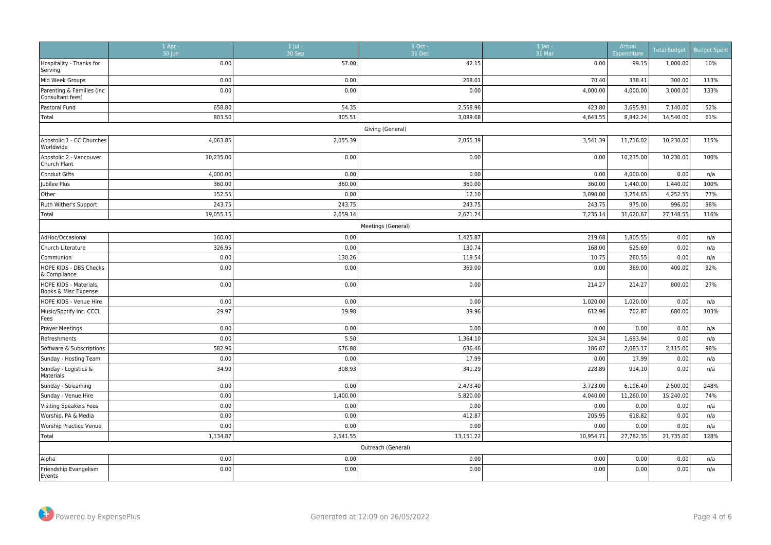|                                                | $1$ Apr -<br>30 Jun | $1$ Jul -<br>30 Sep | 1 Oct -<br>31 Dec  | $1$ Jan -<br>$31$ Mar | Actual<br>Expenditure | <b>Total Budget</b> | <b>Budget Spent</b> |  |  |  |
|------------------------------------------------|---------------------|---------------------|--------------------|-----------------------|-----------------------|---------------------|---------------------|--|--|--|
| Hospitality - Thanks for<br>Serving            | 0.00                | 57.00               | 42.15              | 0.00                  | 99.15                 | 1,000.00            | 10%                 |  |  |  |
| Mid Week Groups                                | 0.00                | 0.00                | 268.01             | 70.40                 | 338.41                | 300.00              | 113%                |  |  |  |
| Parenting & Families (inc<br>Consultant fees)  | 0.00                | 0.00                | 0.00               | 4,000.00              | 4,000.00              | 3,000.00            | 133%                |  |  |  |
| Pastoral Fund                                  | 658.80              | 54.35               | 2,558.96           | 423.80                | 3,695.91              | 7,140.00            | 52%                 |  |  |  |
| Total                                          | 803.50              | 305.51              | 3,089.68           | 4,643.55              | 8,842.24              | 14,540.00           | 61%                 |  |  |  |
| Giving (General)                               |                     |                     |                    |                       |                       |                     |                     |  |  |  |
| Apostolic 1 - CC Churches<br>Worldwide         | 4,063.85            | 2,055.39            | 2,055.39           | 3,541.39              | 11,716.02             | 10,230.00           | 115%                |  |  |  |
| Apostolic 2 - Vancouver<br>Church Plant        | 10,235.00           | 0.00                | 0.00               | 0.00                  | 10,235.00             | 10,230.00           | 100%                |  |  |  |
| <b>Conduit Gifts</b>                           | 4,000.00            | 0.00                | 0.00               | 0.00                  | 4,000.00              | 0.00                | n/a                 |  |  |  |
| Jubilee Plus                                   | 360.00              | 360.00              | 360.00             | 360.00                | 1,440.00              | 1,440.00            | 100%                |  |  |  |
| Other                                          | 152.55              | 0.00                | 12.10              | 3,090.00              | 3,254.65              | 4,252.55            | 77%                 |  |  |  |
| Ruth Wither's Support                          | 243.75              | 243.75              | 243.75             | 243.75                | 975.00                | 996.00              | 98%                 |  |  |  |
| Total                                          | 19,055.15           | 2,659.14            | 2,671.24           | 7,235.14              | 31,620.67             | 27,148.55           | 116%                |  |  |  |
|                                                |                     |                     | Meetings (General) |                       |                       |                     |                     |  |  |  |
| AdHoc/Occasional                               | 160.00              | 0.00                | 1,425.87           | 219.68                | 1,805.55              | 0.00                | n/a                 |  |  |  |
| Church Literature                              | 326.95              | 0.00                | 130.74             | 168.00                | 625.69                | 0.00                | n/a                 |  |  |  |
| Communion                                      | 0.00                | 130.26              | 119.54             | 10.75                 | 260.55                | 0.00                | n/a                 |  |  |  |
| HOPE KIDS - DBS Checks<br>& Compliance         | 0.00                | 0.00                | 369.00             | 0.00                  | 369.00                | 400.00              | 92%                 |  |  |  |
| HOPE KIDS - Materials,<br>Books & Misc Expense | 0.00                | 0.00                | 0.00               | 214.27                | 214.27                | 800.00              | 27%                 |  |  |  |
| HOPE KIDS - Venue Hire                         | 0.00                | 0.00                | 0.00               | 1,020.00              | 1,020.00              | 0.00                | n/a                 |  |  |  |
| Music/Spotify inc. CCCL<br>Fees                | 29.97               | 19.98               | 39.96              | 612.96                | 702.87                | 680.00              | 103%                |  |  |  |
| Prayer Meetings                                | 0.00                | 0.00                | 0.00               | 0.00                  | 0.00                  | 0.00                | n/a                 |  |  |  |
| Refreshments                                   | 0.00                | 5.50                | 1,364.10           | 324.34                | 1,693.94              | 0.00                | n/a                 |  |  |  |
| Software & Subscriptions                       | 582.96              | 676.88              | 636.46             | 186.87                | 2,083.17              | 2,115.00            | 98%                 |  |  |  |
| Sunday - Hosting Team                          | 0.00                | 0.00                | 17.99              | 0.00                  | 17.99                 | 0.00                | n/a                 |  |  |  |
| Sunday - Logistics &<br>Materials              | 34.99               | 308.93              | 341.29             | 228.89                | 914.10                | 0.00                | n/a                 |  |  |  |
| Sunday - Streaming                             | 0.00                | 0.00                | 2,473.40           | 3,723.00              | 6,196.40              | 2,500.00            | 248%                |  |  |  |
| Sunday - Venue Hire                            | 0.00                | 1,400.00            | 5,820.00           | 4,040.00              | 11,260.00             | 15,240.00           | 74%                 |  |  |  |
| Visiting Speakers Fees                         | 0.00                | 0.00                | 0.00               | 0.00                  | 0.00                  | 0.00                | n/a                 |  |  |  |
| Worship, PA & Media                            | 0.00                | 0.00                | 412.87             | 205.95                | 618.82                | 0.00                | n/a                 |  |  |  |
| Worship Practice Venue                         | 0.00                | 0.00                | 0.00               | 0.00                  | 0.00                  | 0.00                | n/a                 |  |  |  |
| Total                                          | 1,134.87            | 2,541.55            | 13,151.22          | 10,954.71             | 27,782.35             | 21,735.00           | 128%                |  |  |  |
|                                                |                     |                     | Outreach (General) |                       |                       |                     |                     |  |  |  |
| Alpha                                          | 0.00                | 0.00                | 0.00               | 0.00                  | 0.00                  | 0.00                | n/a                 |  |  |  |
| Friendship Evangelism<br>Events                | 0.00                | 0.00                | 0.00               | 0.00                  | 0.00                  | 0.00                | n/a                 |  |  |  |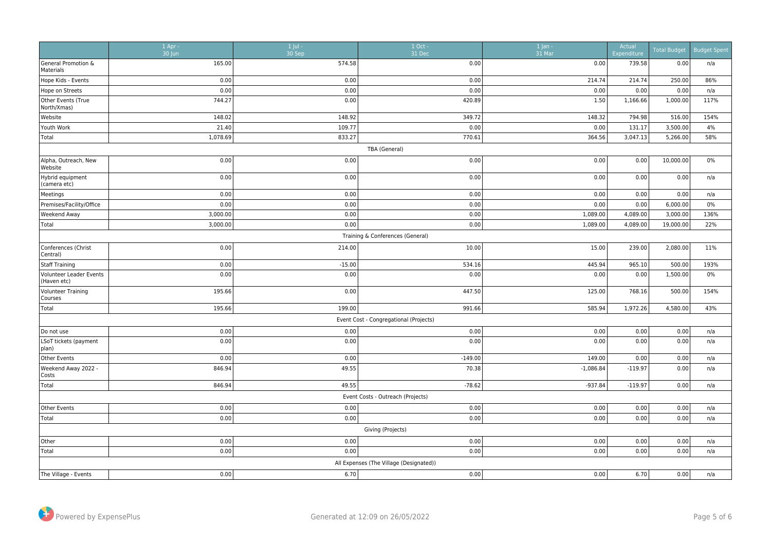|                                        | $1$ Apr -<br>30 Jun | 1 Jul -<br>30 Sep | $1$ Oct -<br>31 Dec                     | $1$ Jan -<br>$31$ Mar | Actual<br>Expenditure | <b>Total Budget</b> | <b>Budget Spent</b> |  |  |  |
|----------------------------------------|---------------------|-------------------|-----------------------------------------|-----------------------|-----------------------|---------------------|---------------------|--|--|--|
| General Promotion &<br>Materials       | 165.00              | 574.58            | 0.00                                    | 0.00                  | 739.58                | 0.00                | n/a                 |  |  |  |
| Hope Kids - Events                     | 0.00                | 0.00              | 0.00                                    | 214.74                | 214.74                | 250.00              | 86%                 |  |  |  |
| Hope on Streets                        | 0.00                | 0.00              | 0.00                                    | 0.00                  | 0.00                  | 0.00                | n/a                 |  |  |  |
| Other Events (True<br>North/Xmas)      | 744.27              | 0.00              | 420.89                                  | 1.50                  | 1,166.66              | 1,000.00            | 117%                |  |  |  |
| Website                                | 148.02              | 148.92            | 349.72                                  | 148.32                | 794.98                | 516.00              | 154%                |  |  |  |
| Youth Work                             | 21.40               | 109.77            | 0.00                                    | 0.00                  | 131.17                | 3,500.00            | 4%                  |  |  |  |
| Total                                  | 1,078.69            | 833.27            | 770.61                                  | 364.56                | 3,047.13              | 5,266.00            | 58%                 |  |  |  |
| TBA (General)                          |                     |                   |                                         |                       |                       |                     |                     |  |  |  |
| Alpha, Outreach, New<br>Website        | 0.00                | 0.00              | 0.00                                    | 0.00                  | 0.00                  | 10,000.00           | $0\%$               |  |  |  |
| Hybrid equipment<br>(camera etc)       | 0.00                | 0.00              | 0.00                                    | 0.00                  | 0.00                  | 0.00                | n/a                 |  |  |  |
| Meetings                               | 0.00                | 0.00              | 0.00                                    | 0.00                  | 0.00                  | 0.00                | n/a                 |  |  |  |
| Premises/Facility/Office               | 0.00                | 0.00              | 0.00                                    | 0.00                  | 0.00                  | 6,000.00            | $0\%$               |  |  |  |
| <b>Weekend Away</b>                    | 3,000.00            | 0.00              | 0.00                                    | 1,089.00              | 4,089.00              | 3,000.00            | 136%                |  |  |  |
| Total                                  | 3,000.00            | 0.00              | 0.00                                    | 1,089.00              | 4,089.00              | 19,000.00           | 22%                 |  |  |  |
|                                        |                     |                   | Training & Conferences (General)        |                       |                       |                     |                     |  |  |  |
| Conferences (Christ<br>Central)        | 0.00                | 214.00            | 10.00                                   | 15.00                 | 239.00                | 2,080.00            | 11%                 |  |  |  |
| Staff Training                         | 0.00                | $-15.00$          | 534.16                                  | 445.94                | 965.10                | 500.00              | 193%                |  |  |  |
| Volunteer Leader Events<br>(Haven etc) | 0.00                | 0.00              | 0.00                                    | 0.00                  | 0.00                  | 1,500.00            | 0%                  |  |  |  |
| Volunteer Training<br>Courses          | 195.66              | 0.00              | 447.50                                  | 125.00                | 768.16                | 500.00              | 154%                |  |  |  |
| Total                                  | 195.66              | 199.00            | 991.66                                  | 585.94                | 1,972.26              | 4,580.00            | 43%                 |  |  |  |
|                                        |                     |                   | Event Cost - Congregational (Projects)  |                       |                       |                     |                     |  |  |  |
| Do not use                             | 0.00                | 0.00              | 0.00                                    | 0.00                  | 0.00                  | 0.00                | n/a                 |  |  |  |
| LSoT tickets (payment<br> plan)        | 0.00                | 0.00              | 0.00                                    | 0.00                  | 0.00                  | 0.00                | n/a                 |  |  |  |
| Other Events                           | 0.00                | 0.00              | $-149.00$                               | 149.00                | 0.00                  | 0.00                | n/a                 |  |  |  |
| Weekend Away 2022 -<br>Costs           | 846.94              | 49.55             | 70.38                                   | $-1,086.84$           | $-119.97$             | 0.00                | n/a                 |  |  |  |
| Total                                  | 846.94              | 49.55             | $-78.62$                                | $-937.84$             | $-119.97$             | 0.00                | n/a                 |  |  |  |
|                                        |                     |                   | Event Costs - Outreach (Projects)       |                       |                       |                     |                     |  |  |  |
| Other Events                           | 0.00                | 0.00              | 0.00                                    | 0.00                  | 0.00                  | 0.00                | n/a                 |  |  |  |
| Total                                  | 0.00                | 0.00              | 0.00                                    | 0.00                  | 0.00                  | 0.00                | n/a                 |  |  |  |
|                                        |                     |                   | Giving (Projects)                       |                       |                       |                     |                     |  |  |  |
| Other                                  | 0.00                | 0.00              | 0.00                                    | 0.00                  | 0.00                  | 0.00                | n/a                 |  |  |  |
| Total                                  | 0.00                | 0.00              | 0.00                                    | 0.00                  | 0.00                  | 0.00                | n/a                 |  |  |  |
|                                        |                     |                   | All Expenses (The Village (Designated)) |                       |                       |                     |                     |  |  |  |
| The Village - Events                   | 0.00                | 6.70              | 0.00                                    | 0.00                  | 6.70                  | 0.00                | n/a                 |  |  |  |